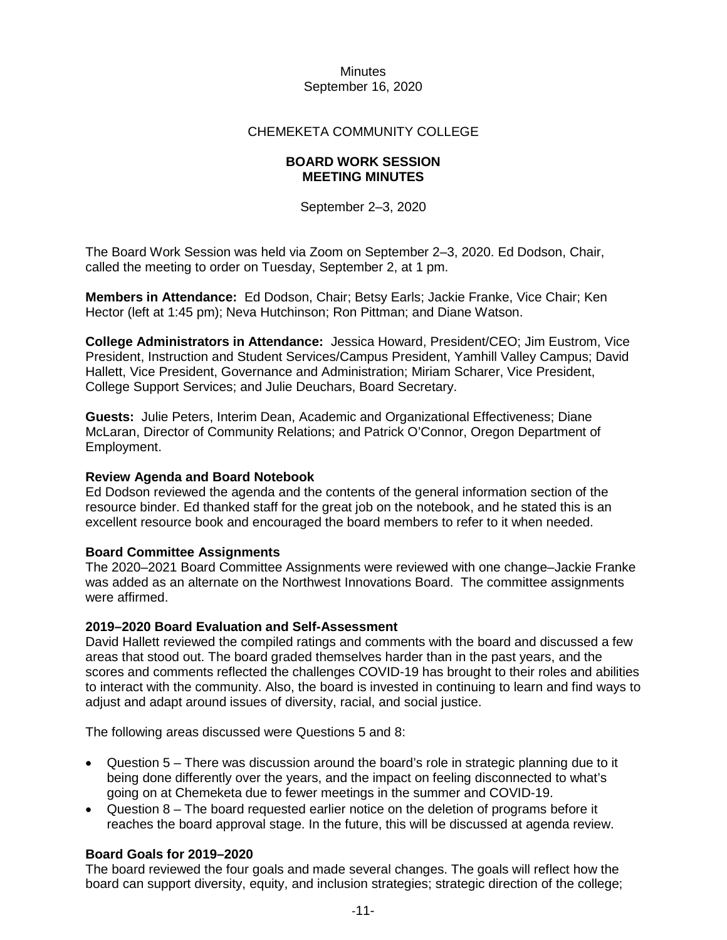#### **Minutes** September 16, 2020

# CHEMEKETA COMMUNITY COLLEGE

### **BOARD WORK SESSION MEETING MINUTES**

September 2–3, 2020

The Board Work Session was held via Zoom on September 2–3, 2020. Ed Dodson, Chair, called the meeting to order on Tuesday, September 2, at 1 pm.

**Members in Attendance:** Ed Dodson, Chair; Betsy Earls; Jackie Franke, Vice Chair; Ken Hector (left at 1:45 pm); Neva Hutchinson; Ron Pittman; and Diane Watson.

**College Administrators in Attendance:** Jessica Howard, President/CEO; Jim Eustrom, Vice President, Instruction and Student Services/Campus President, Yamhill Valley Campus; David Hallett, Vice President, Governance and Administration; Miriam Scharer, Vice President, College Support Services; and Julie Deuchars, Board Secretary.

**Guests:** Julie Peters, Interim Dean, Academic and Organizational Effectiveness; Diane McLaran, Director of Community Relations; and Patrick O'Connor, Oregon Department of Employment.

### **Review Agenda and Board Notebook**

Ed Dodson reviewed the agenda and the contents of the general information section of the resource binder. Ed thanked staff for the great job on the notebook, and he stated this is an excellent resource book and encouraged the board members to refer to it when needed.

### **Board Committee Assignments**

The 2020–2021 Board Committee Assignments were reviewed with one change–Jackie Franke was added as an alternate on the Northwest Innovations Board. The committee assignments were affirmed.

### **2019–2020 Board Evaluation and Self-Assessment**

David Hallett reviewed the compiled ratings and comments with the board and discussed a few areas that stood out. The board graded themselves harder than in the past years, and the scores and comments reflected the challenges COVID-19 has brought to their roles and abilities to interact with the community. Also, the board is invested in continuing to learn and find ways to adjust and adapt around issues of diversity, racial, and social justice.

The following areas discussed were Questions 5 and 8:

- Question 5 There was discussion around the board's role in strategic planning due to it being done differently over the years, and the impact on feeling disconnected to what's going on at Chemeketa due to fewer meetings in the summer and COVID-19.
- Question 8 The board requested earlier notice on the deletion of programs before it reaches the board approval stage. In the future, this will be discussed at agenda review.

# **Board Goals for 2019–2020**

The board reviewed the four goals and made several changes. The goals will reflect how the board can support diversity, equity, and inclusion strategies; strategic direction of the college;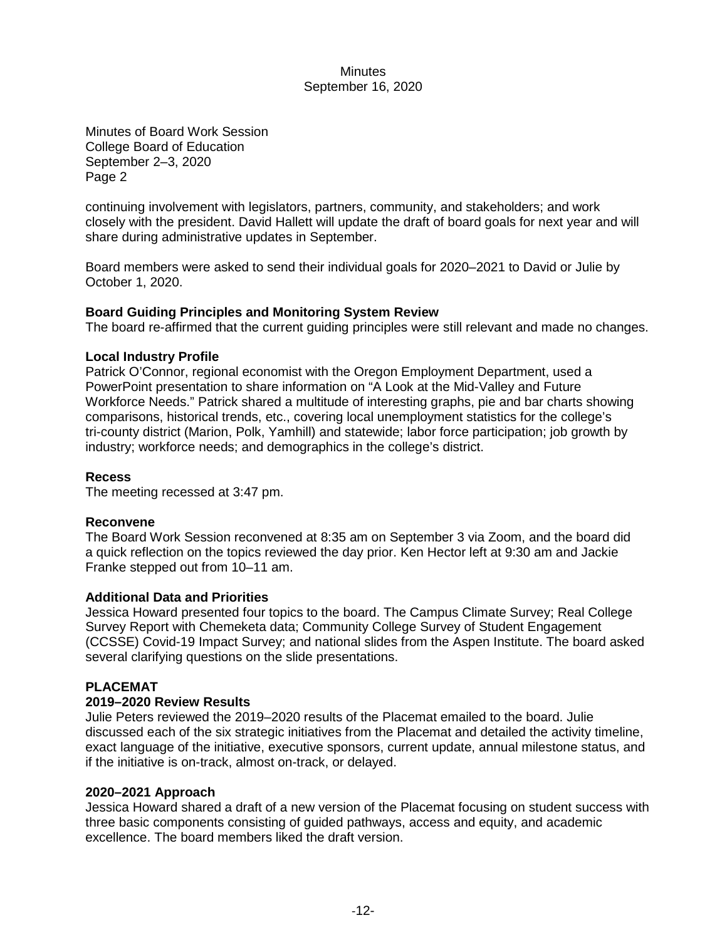### **Minutes** September 16, 2020

Minutes of Board Work Session College Board of Education September 2–3, 2020 Page 2

continuing involvement with legislators, partners, community, and stakeholders; and work closely with the president. David Hallett will update the draft of board goals for next year and will share during administrative updates in September.

Board members were asked to send their individual goals for 2020–2021 to David or Julie by October 1, 2020.

# **Board Guiding Principles and Monitoring System Review**

The board re-affirmed that the current guiding principles were still relevant and made no changes.

# **Local Industry Profile**

Patrick O'Connor, regional economist with the Oregon Employment Department, used a PowerPoint presentation to share information on "A Look at the Mid-Valley and Future Workforce Needs." Patrick shared a multitude of interesting graphs, pie and bar charts showing comparisons, historical trends, etc., covering local unemployment statistics for the college's tri-county district (Marion, Polk, Yamhill) and statewide; labor force participation; job growth by industry; workforce needs; and demographics in the college's district.

### **Recess**

The meeting recessed at 3:47 pm.

### **Reconvene**

The Board Work Session reconvened at 8:35 am on September 3 via Zoom, and the board did a quick reflection on the topics reviewed the day prior. Ken Hector left at 9:30 am and Jackie Franke stepped out from 10–11 am.

### **Additional Data and Priorities**

Jessica Howard presented four topics to the board. The Campus Climate Survey; Real College Survey Report with Chemeketa data; Community College Survey of Student Engagement (CCSSE) Covid-19 Impact Survey; and national slides from the Aspen Institute. The board asked several clarifying questions on the slide presentations.

# **PLACEMAT**

### **2019–2020 Review Results**

Julie Peters reviewed the 2019–2020 results of the Placemat emailed to the board. Julie discussed each of the six strategic initiatives from the Placemat and detailed the activity timeline, exact language of the initiative, executive sponsors, current update, annual milestone status, and if the initiative is on-track, almost on-track, or delayed.

### **2020–2021 Approach**

Jessica Howard shared a draft of a new version of the Placemat focusing on student success with three basic components consisting of guided pathways, access and equity, and academic excellence. The board members liked the draft version.